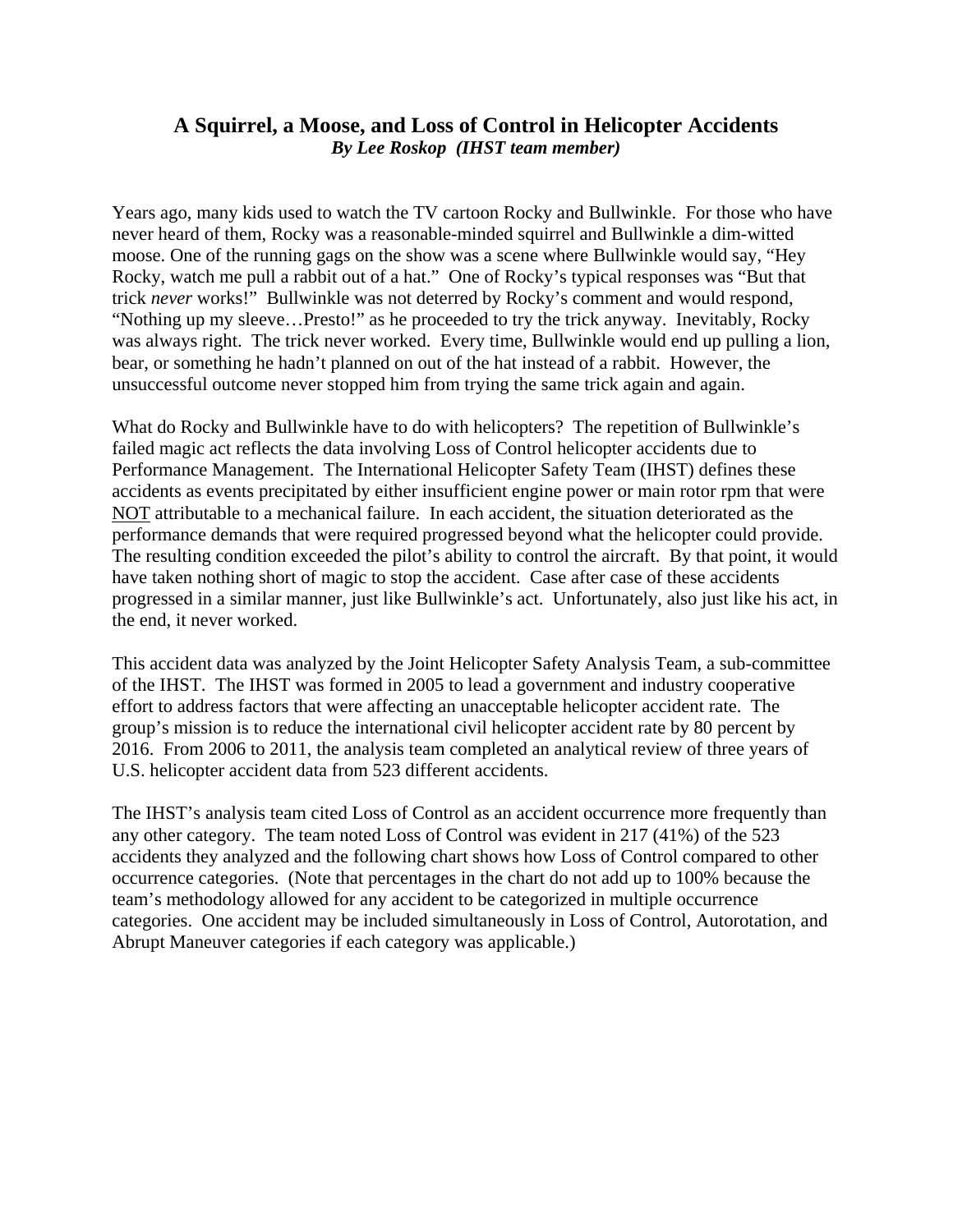## **A Squirrel, a Moose, and Loss of Control in Helicopter Accidents**  *By Lee Roskop (IHST team member)*

Years ago, many kids used to watch the TV cartoon Rocky and Bullwinkle. For those who have never heard of them, Rocky was a reasonable-minded squirrel and Bullwinkle a dim-witted moose. One of the running gags on the show was a scene where Bullwinkle would say, "Hey Rocky, watch me pull a rabbit out of a hat." One of Rocky's typical responses was "But that trick *never* works!" Bullwinkle was not deterred by Rocky's comment and would respond, "Nothing up my sleeve…Presto!" as he proceeded to try the trick anyway. Inevitably, Rocky was always right. The trick never worked. Every time, Bullwinkle would end up pulling a lion, bear, or something he hadn't planned on out of the hat instead of a rabbit. However, the unsuccessful outcome never stopped him from trying the same trick again and again.

What do Rocky and Bullwinkle have to do with helicopters? The repetition of Bullwinkle's failed magic act reflects the data involving Loss of Control helicopter accidents due to Performance Management. The International Helicopter Safety Team (IHST) defines these accidents as events precipitated by either insufficient engine power or main rotor rpm that were NOT attributable to a mechanical failure. In each accident, the situation deteriorated as the performance demands that were required progressed beyond what the helicopter could provide. The resulting condition exceeded the pilot's ability to control the aircraft. By that point, it would have taken nothing short of magic to stop the accident. Case after case of these accidents progressed in a similar manner, just like Bullwinkle's act. Unfortunately, also just like his act, in the end, it never worked.

This accident data was analyzed by the Joint Helicopter Safety Analysis Team, a sub-committee of the IHST. The IHST was formed in 2005 to lead a government and industry cooperative effort to address factors that were affecting an unacceptable helicopter accident rate. The group's mission is to reduce the international civil helicopter accident rate by 80 percent by 2016. From 2006 to 2011, the analysis team completed an analytical review of three years of U.S. helicopter accident data from 523 different accidents.

The IHST's analysis team cited Loss of Control as an accident occurrence more frequently than any other category. The team noted Loss of Control was evident in 217 (41%) of the 523 accidents they analyzed and the following chart shows how Loss of Control compared to other occurrence categories. (Note that percentages in the chart do not add up to 100% because the team's methodology allowed for any accident to be categorized in multiple occurrence categories. One accident may be included simultaneously in Loss of Control, Autorotation, and Abrupt Maneuver categories if each category was applicable.)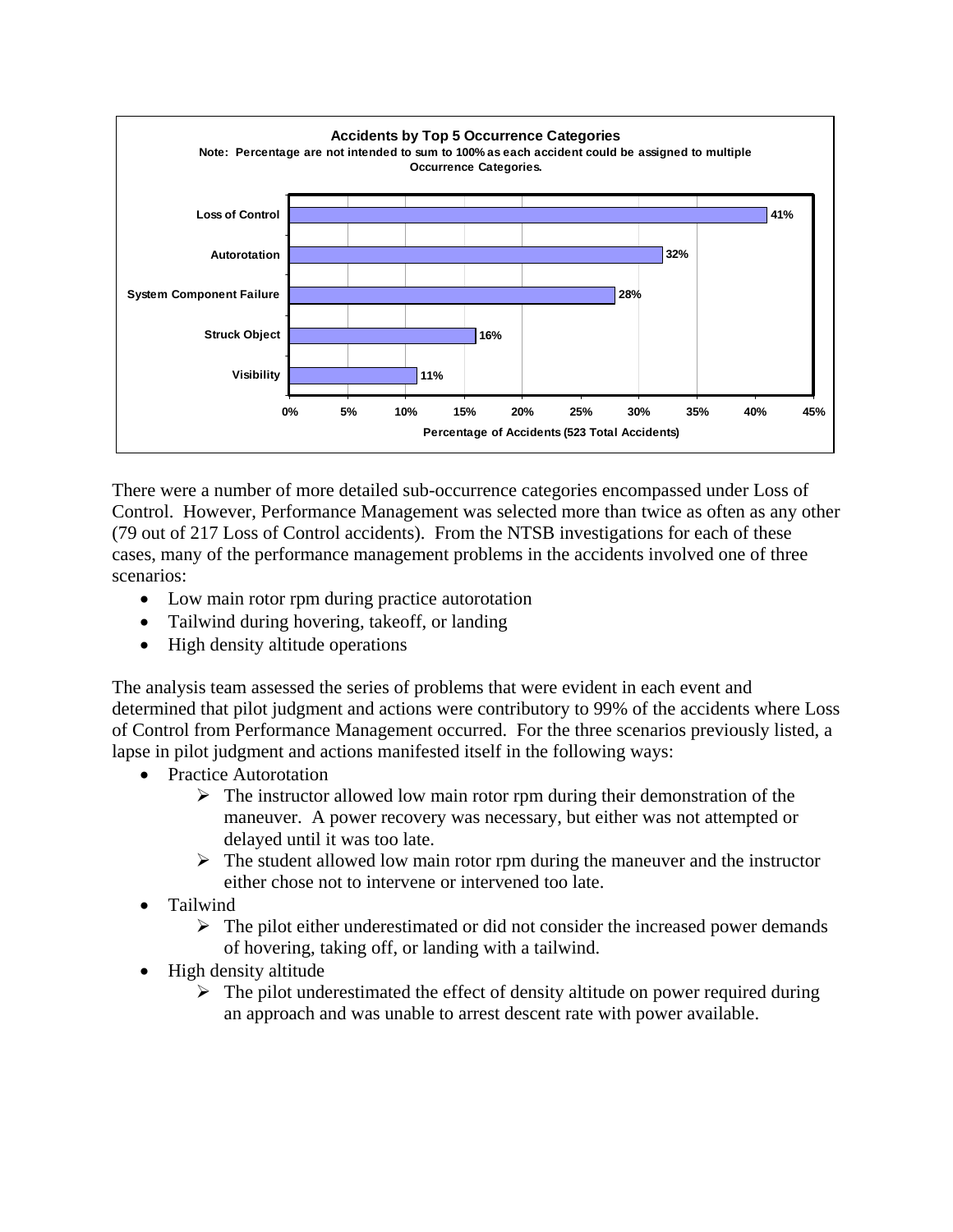

There were a number of more detailed sub-occurrence categories encompassed under Loss of Control. However, Performance Management was selected more than twice as often as any other (79 out of 217 Loss of Control accidents). From the NTSB investigations for each of these cases, many of the performance management problems in the accidents involved one of three scenarios:

- Low main rotor rpm during practice autorotation
- Tailwind during hovering, takeoff, or landing
- High density altitude operations

The analysis team assessed the series of problems that were evident in each event and determined that pilot judgment and actions were contributory to 99% of the accidents where Loss of Control from Performance Management occurred. For the three scenarios previously listed, a lapse in pilot judgment and actions manifested itself in the following ways:

- Practice Autorotation
	- $\triangleright$  The instructor allowed low main rotor rpm during their demonstration of the maneuver. A power recovery was necessary, but either was not attempted or delayed until it was too late.
	- $\triangleright$  The student allowed low main rotor rpm during the maneuver and the instructor either chose not to intervene or intervened too late.
- Tailwind
	- $\triangleright$  The pilot either underestimated or did not consider the increased power demands of hovering, taking off, or landing with a tailwind.
- High density altitude
	- $\triangleright$  The pilot underestimated the effect of density altitude on power required during an approach and was unable to arrest descent rate with power available.